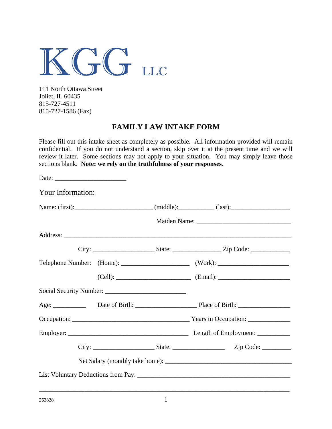

111 North Ottawa Street Joliet, IL 60435 815-727-4511 815-727-1586 (Fax)

#### **FAMILY LAW INTAKE FORM**

Please fill out this intake sheet as completely as possible. All information provided will remain confidential. If you do not understand a section, skip over it at the present time and we will review it later. Some sections may not apply to your situation. You may simply leave those sections blank. **Note: we rely on the truthfulness of your responses.**

| Your Information: |  |  |
|-------------------|--|--|
|                   |  |  |
|                   |  |  |
|                   |  |  |
|                   |  |  |
|                   |  |  |
|                   |  |  |
|                   |  |  |
|                   |  |  |
|                   |  |  |
|                   |  |  |
|                   |  |  |
|                   |  |  |
|                   |  |  |
|                   |  |  |

\_\_\_\_\_\_\_\_\_\_\_\_\_\_\_\_\_\_\_\_\_\_\_\_\_\_\_\_\_\_\_\_\_\_\_\_\_\_\_\_\_\_\_\_\_\_\_\_\_\_\_\_\_\_\_\_\_\_\_\_\_\_\_\_\_\_\_\_\_\_\_\_\_\_\_\_\_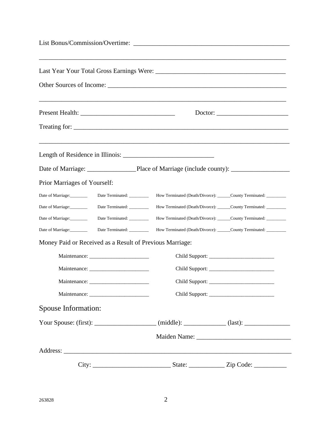| Prior Marriages of Yourself:                             |                             |                                                                                                      |  |
|----------------------------------------------------------|-----------------------------|------------------------------------------------------------------------------------------------------|--|
| Date of Marriage:                                        | Date Terminated: __________ | How Terminated (Death/Divorce): ______County Terminated: _________                                   |  |
| Date of Marriage:                                        | Date Terminated: _________  | How Terminated (Death/Divorce): ______County Terminated: _________                                   |  |
| Date of Marriage:                                        | Date Terminated: _________  | How Terminated (Death/Divorce): ______County Terminated: _________                                   |  |
| Date of Marriage:                                        | Date Terminated: __________ | How Terminated (Death/Divorce): ______County Terminated: _________                                   |  |
| Money Paid or Received as a Result of Previous Marriage: |                             |                                                                                                      |  |
|                                                          |                             |                                                                                                      |  |
|                                                          |                             |                                                                                                      |  |
| Maintenance: __________                                  |                             | Child Support: _________                                                                             |  |
|                                                          |                             |                                                                                                      |  |
| Spouse Information:                                      |                             |                                                                                                      |  |
|                                                          |                             | Your Spouse: (first): _____________________ (middle): ____________ (last): _________________________ |  |
|                                                          |                             |                                                                                                      |  |
|                                                          |                             |                                                                                                      |  |
|                                                          |                             |                                                                                                      |  |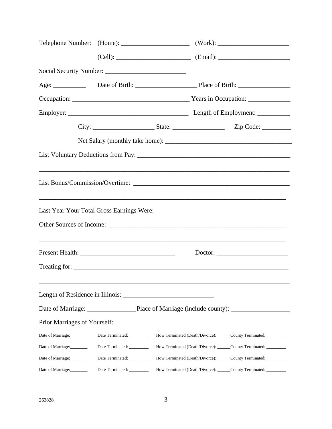|                              |                             |  |  | City: ____________________________State: __________________________________Zip Code: _______________ |  |
|------------------------------|-----------------------------|--|--|------------------------------------------------------------------------------------------------------|--|
|                              |                             |  |  |                                                                                                      |  |
|                              |                             |  |  |                                                                                                      |  |
|                              |                             |  |  |                                                                                                      |  |
|                              |                             |  |  |                                                                                                      |  |
|                              |                             |  |  |                                                                                                      |  |
|                              |                             |  |  |                                                                                                      |  |
|                              |                             |  |  | Treating for:                                                                                        |  |
|                              |                             |  |  |                                                                                                      |  |
|                              |                             |  |  |                                                                                                      |  |
| Prior Marriages of Yourself: |                             |  |  |                                                                                                      |  |
| Date of Marriage:            | Date Terminated:            |  |  | How Terminated (Death/Divorce): ______County Terminated: _________                                   |  |
| Date of Marriage:            | Date Terminated: _________  |  |  | How Terminated (Death/Divorce): ______County Terminated: _________                                   |  |
| Date of Marriage:            | Date Terminated: __________ |  |  | How Terminated (Death/Divorce): ______County Terminated: _________                                   |  |
| Date of Marriage:            | Date Terminated: __________ |  |  | How Terminated (Death/Divorce): ______County Terminated: _________                                   |  |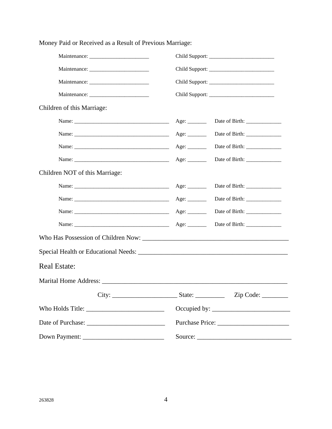| Children of this Marriage:     |                                    |                               |
|--------------------------------|------------------------------------|-------------------------------|
|                                |                                    | Date of Birth: _____________  |
|                                | Age: $\_\_$                        |                               |
|                                | Age: $\_\_$                        | Date of Birth: _____________  |
|                                | Age: $\_\_$                        |                               |
| Children NOT of this Marriage: |                                    |                               |
|                                |                                    | Date of Birth: ______________ |
|                                | Age: $\_\_\_\_\_\_\_\_\_\_\_\_\_\$ |                               |
|                                |                                    |                               |
|                                |                                    |                               |
|                                |                                    |                               |
|                                |                                    |                               |
| <b>Real Estate:</b>            |                                    |                               |
|                                |                                    |                               |
|                                |                                    |                               |
|                                |                                    |                               |
|                                |                                    |                               |
|                                |                                    |                               |

Money Paid or Received as a Result of Previous Marriage: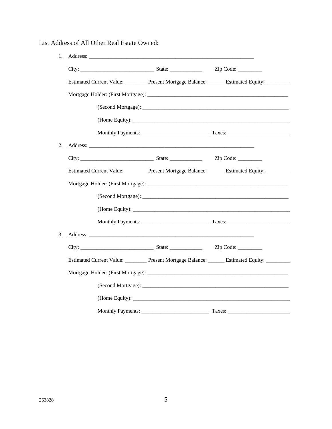List Address of All Other Real Estate Owned:

| 1. |  |                                                                                      |
|----|--|--------------------------------------------------------------------------------------|
|    |  |                                                                                      |
|    |  | Estimated Current Value: Present Mortgage Balance: Estimated Equity:                 |
|    |  |                                                                                      |
|    |  |                                                                                      |
|    |  |                                                                                      |
|    |  |                                                                                      |
| 2. |  |                                                                                      |
|    |  |                                                                                      |
|    |  | Estimated Current Value: Present Mortgage Balance: ______ Estimated Equity: ________ |
|    |  |                                                                                      |
|    |  |                                                                                      |
|    |  |                                                                                      |
|    |  |                                                                                      |
| 3. |  |                                                                                      |
|    |  |                                                                                      |
|    |  | Estimated Current Value: Present Mortgage Balance: ______ Estimated Equity: ________ |
|    |  |                                                                                      |
|    |  |                                                                                      |
|    |  | (Home Equity): $\qquad \qquad$                                                       |
|    |  |                                                                                      |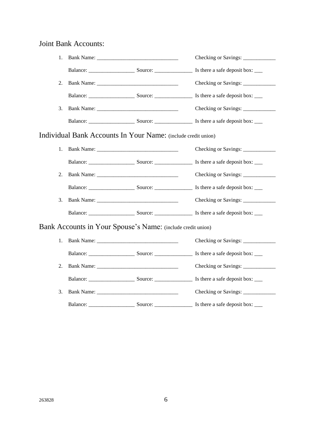### Joint Bank Accounts:

| 1. |                                                                                                                                                                                                                                | Checking or Savings: _____________                            |
|----|--------------------------------------------------------------------------------------------------------------------------------------------------------------------------------------------------------------------------------|---------------------------------------------------------------|
|    |                                                                                                                                                                                                                                |                                                               |
| 2. |                                                                                                                                                                                                                                |                                                               |
|    |                                                                                                                                                                                                                                |                                                               |
| 3. |                                                                                                                                                                                                                                | Checking or Savings: _____________                            |
|    |                                                                                                                                                                                                                                |                                                               |
|    | Individual Bank Accounts In Your Name: (include credit union)                                                                                                                                                                  |                                                               |
| 1. | Bank Name:                                                                                                                                                                                                                     | Checking or Savings:                                          |
|    |                                                                                                                                                                                                                                |                                                               |
| 2. |                                                                                                                                                                                                                                | Checking or Savings: _______________                          |
|    |                                                                                                                                                                                                                                |                                                               |
| 3. |                                                                                                                                                                                                                                |                                                               |
|    |                                                                                                                                                                                                                                |                                                               |
|    | Bank Accounts in Your Spouse's Name: (include credit union)                                                                                                                                                                    |                                                               |
| 1. | Bank Name: 1988 and 1988 and 1988 and 1988 and 1988 and 1988 and 1988 and 1988 and 1988 and 1988 and 1988 and 1988 and 1988 and 1988 and 1988 and 1988 and 1988 and 1988 and 1988 and 1988 and 1988 and 1988 and 1988 and 1988 |                                                               |
|    |                                                                                                                                                                                                                                | Balance: Source: Source: Source: Is there a safe deposit box: |
| 2. |                                                                                                                                                                                                                                | Checking or Savings: _____________                            |
|    |                                                                                                                                                                                                                                |                                                               |
| 3. |                                                                                                                                                                                                                                | Checking or Savings: ______________                           |
|    |                                                                                                                                                                                                                                |                                                               |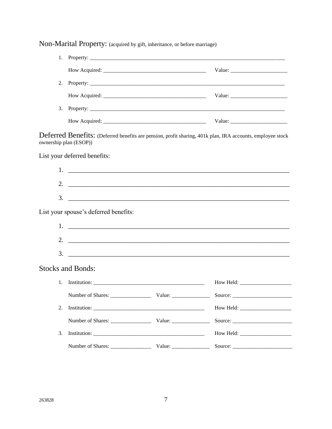Non-Marital Property: (acquired by gift, inheritance, or before marriage) How Acquired: Value: Value: 3. Property: Deferred Benefits: (Deferred benefits are pension, profit sharing, 401k plan, IRA accounts, employee stock ownership plan (ESOP)) List your deferred benefits:  $1.$   $\Box$  $\overline{\mathbf{3}}$ . List your spouse's deferred benefits: 2.  $\overline{\phantom{a}}$  $3.$   $\overline{\phantom{a}}$ **Stocks and Bonds:** 1. Institution:  $\qquad \qquad$ How Held: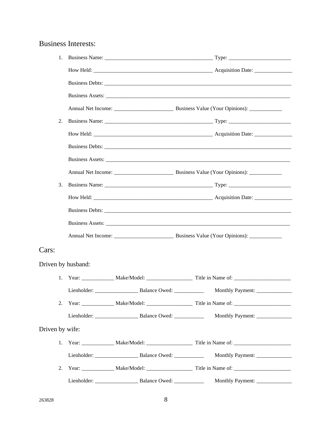# Business Interests:

|                    | 1. |  |  |  |                  |
|--------------------|----|--|--|--|------------------|
|                    |    |  |  |  |                  |
|                    |    |  |  |  |                  |
|                    |    |  |  |  |                  |
|                    |    |  |  |  |                  |
| 2.                 |    |  |  |  |                  |
|                    |    |  |  |  |                  |
|                    |    |  |  |  |                  |
|                    |    |  |  |  |                  |
|                    |    |  |  |  |                  |
| 3.                 |    |  |  |  |                  |
|                    |    |  |  |  |                  |
|                    |    |  |  |  |                  |
|                    |    |  |  |  |                  |
|                    |    |  |  |  |                  |
| Cars:              |    |  |  |  |                  |
| Driven by husband: |    |  |  |  |                  |
|                    |    |  |  |  |                  |
|                    |    |  |  |  |                  |
|                    | 2. |  |  |  |                  |
|                    |    |  |  |  |                  |
| Driven by wife:    |    |  |  |  |                  |
|                    |    |  |  |  |                  |
|                    |    |  |  |  |                  |
|                    | 2. |  |  |  |                  |
|                    |    |  |  |  | Monthly Payment: |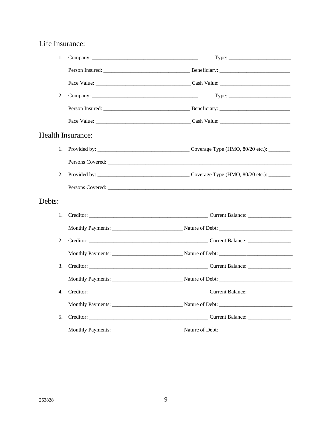### Life Insurance:

| 1.                |                                                                                                                                                                                                                                |
|-------------------|--------------------------------------------------------------------------------------------------------------------------------------------------------------------------------------------------------------------------------|
|                   |                                                                                                                                                                                                                                |
|                   |                                                                                                                                                                                                                                |
| 2.                |                                                                                                                                                                                                                                |
|                   |                                                                                                                                                                                                                                |
|                   |                                                                                                                                                                                                                                |
| Health Insurance: |                                                                                                                                                                                                                                |
| 1.                |                                                                                                                                                                                                                                |
|                   |                                                                                                                                                                                                                                |
| 2.                |                                                                                                                                                                                                                                |
|                   |                                                                                                                                                                                                                                |
| Debts:            |                                                                                                                                                                                                                                |
| 1.                |                                                                                                                                                                                                                                |
|                   |                                                                                                                                                                                                                                |
| 2.                |                                                                                                                                                                                                                                |
|                   |                                                                                                                                                                                                                                |
| 3.                | Creditor: Creditor: Creditor: Current Balance: Current Balance: Current Balance: Current Balance: Current Balance: Current Balance: Current Balance: Current Balance: Current Balance: Current Balance: Current Balance: Curre |
|                   |                                                                                                                                                                                                                                |
| 4.                |                                                                                                                                                                                                                                |
|                   |                                                                                                                                                                                                                                |
| 5.                |                                                                                                                                                                                                                                |
|                   |                                                                                                                                                                                                                                |